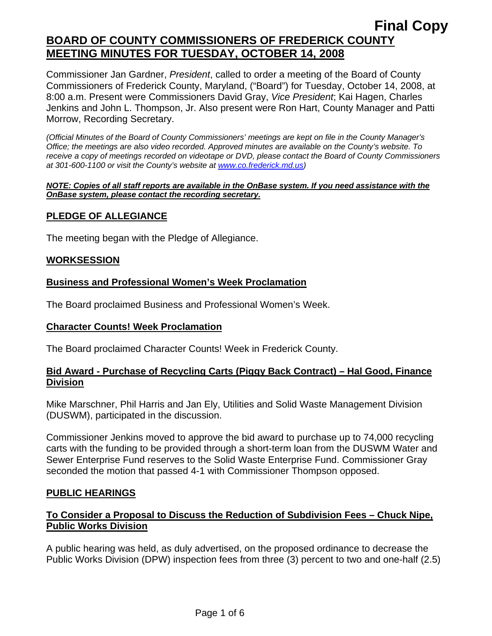Commissioner Jan Gardner, *President*, called to order a meeting of the Board of County Commissioners of Frederick County, Maryland, ("Board") for Tuesday, October 14, 2008, at 8:00 a.m. Present were Commissioners David Gray, *Vice President*; Kai Hagen, Charles Jenkins and John L. Thompson, Jr. Also present were Ron Hart, County Manager and Patti Morrow, Recording Secretary.

*(Official Minutes of the Board of County Commissioners' meetings are kept on file in the County Manager's Office; the meetings are also video recorded. Approved minutes are available on the County's website. To receive a copy of meetings recorded on videotape or DVD, please contact the Board of County Commissioners at 301-600-1100 or visit the County's website at [www.co.frederick.md.us\)](http://www.co.frederick.md.us/)* 

#### *NOTE: Copies of all staff reports are available in the OnBase system. If you need assistance with the OnBase system, please contact the recording secretary.*

## **PLEDGE OF ALLEGIANCE**

The meeting began with the Pledge of Allegiance.

### **WORKSESSION**

### **Business and Professional Women's Week Proclamation**

The Board proclaimed Business and Professional Women's Week.

### **Character Counts! Week Proclamation**

The Board proclaimed Character Counts! Week in Frederick County.

### **Bid Award - Purchase of Recycling Carts (Piggy Back Contract) – Hal Good, Finance Division**

Mike Marschner, Phil Harris and Jan Ely, Utilities and Solid Waste Management Division (DUSWM), participated in the discussion.

Commissioner Jenkins moved to approve the bid award to purchase up to 74,000 recycling carts with the funding to be provided through a short-term loan from the DUSWM Water and Sewer Enterprise Fund reserves to the Solid Waste Enterprise Fund. Commissioner Gray seconded the motion that passed 4-1 with Commissioner Thompson opposed.

### **PUBLIC HEARINGS**

### **To Consider a Proposal to Discuss the Reduction of Subdivision Fees – Chuck Nipe, Public Works Division**

A public hearing was held, as duly advertised, on the proposed ordinance to decrease the Public Works Division (DPW) inspection fees from three (3) percent to two and one-half (2.5)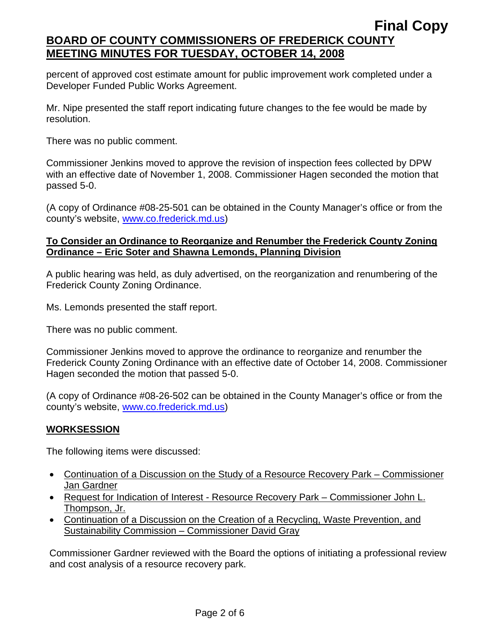percent of approved cost estimate amount for public improvement work completed under a Developer Funded Public Works Agreement.

Mr. Nipe presented the staff report indicating future changes to the fee would be made by resolution.

There was no public comment.

Commissioner Jenkins moved to approve the revision of inspection fees collected by DPW with an effective date of November 1, 2008. Commissioner Hagen seconded the motion that passed 5-0.

(A copy of Ordinance #08-25-501 can be obtained in the County Manager's office or from the county's website, www.co.frederick.md.us)

## **To Consider an Ordinance to Reorganize and Renumber the Frederick County Zoning Ordinance – Eric Soter and Shawna Lemonds, Planning Division**

A public hearing was held, as duly advertised, on the reorganization and renumbering of the Frederick County Zoning Ordinance.

Ms. Lemonds presented the staff report.

There was no public comment.

Commissioner Jenkins moved to approve the ordinance to reorganize and renumber the Frederick County Zoning Ordinance with an effective date of October 14, 2008. Commissioner Hagen seconded the motion that passed 5-0.

(A copy of Ordinance #08-26-502 can be obtained in the County Manager's office or from the county's website, www.co.frederick.md.us)

## **WORKSESSION**

The following items were discussed:

- Continuation of a Discussion on the Study of a Resource Recovery Park Commissioner Jan Gardner
- Request for Indication of Interest Resource Recovery Park Commissioner John L. Thompson, Jr.
- Continuation of a Discussion on the Creation of a Recycling, Waste Prevention, and Sustainability Commission – Commissioner David Gray

Commissioner Gardner reviewed with the Board the options of initiating a professional review and cost analysis of a resource recovery park.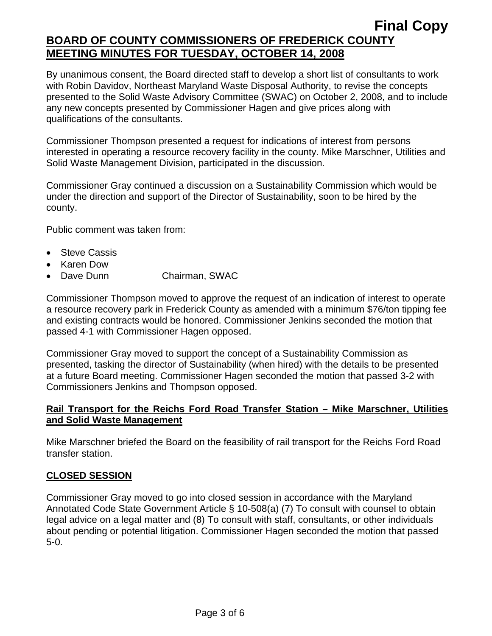By unanimous consent, the Board directed staff to develop a short list of consultants to work with Robin Davidov, Northeast Maryland Waste Disposal Authority, to revise the concepts presented to the Solid Waste Advisory Committee (SWAC) on October 2, 2008, and to include any new concepts presented by Commissioner Hagen and give prices along with qualifications of the consultants.

Commissioner Thompson presented a request for indications of interest from persons interested in operating a resource recovery facility in the county. Mike Marschner, Utilities and Solid Waste Management Division, participated in the discussion.

Commissioner Gray continued a discussion on a Sustainability Commission which would be under the direction and support of the Director of Sustainability, soon to be hired by the county.

Public comment was taken from:

- Steve Cassis
- Karen Dow
- Dave Dunn Chairman, SWAC

Commissioner Thompson moved to approve the request of an indication of interest to operate a resource recovery park in Frederick County as amended with a minimum \$76/ton tipping fee and existing contracts would be honored. Commissioner Jenkins seconded the motion that passed 4-1 with Commissioner Hagen opposed.

Commissioner Gray moved to support the concept of a Sustainability Commission as presented, tasking the director of Sustainability (when hired) with the details to be presented at a future Board meeting. Commissioner Hagen seconded the motion that passed 3-2 with Commissioners Jenkins and Thompson opposed.

### **Rail Transport for the Reichs Ford Road Transfer Station – Mike Marschner, Utilities and Solid Waste Management**

Mike Marschner briefed the Board on the feasibility of rail transport for the Reichs Ford Road transfer station.

### **CLOSED SESSION**

Commissioner Gray moved to go into closed session in accordance with the Maryland Annotated Code State Government Article § 10-508(a) (7) To consult with counsel to obtain legal advice on a legal matter and (8) To consult with staff, consultants, or other individuals about pending or potential litigation. Commissioner Hagen seconded the motion that passed 5-0.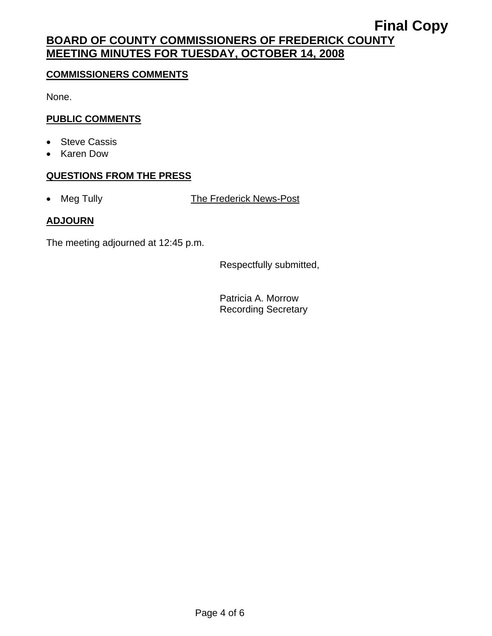### **COMMISSIONERS COMMENTS**

None.

## **PUBLIC COMMENTS**

- Steve Cassis
- Karen Dow

### **QUESTIONS FROM THE PRESS**

• Meg Tully The Frederick News-Post

## **ADJOURN**

The meeting adjourned at 12:45 p.m.

Respectfully submitted,

Patricia A. Morrow Recording Secretary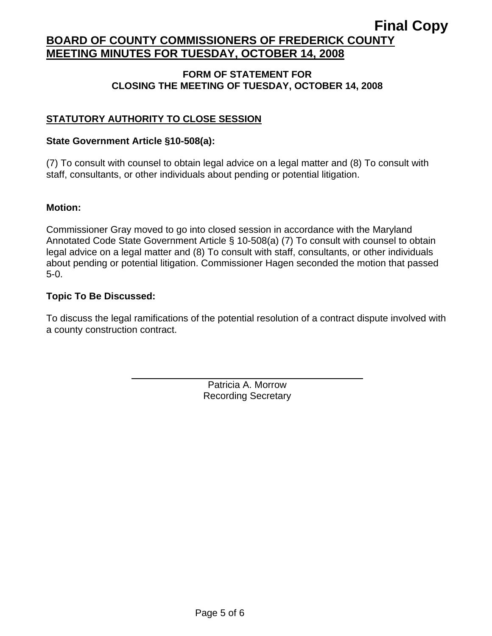#### **FORM OF STATEMENT FOR CLOSING THE MEETING OF TUESDAY, OCTOBER 14, 2008**

## **STATUTORY AUTHORITY TO CLOSE SESSION**

#### **State Government Article §10-508(a):**

(7) To consult with counsel to obtain legal advice on a legal matter and (8) To consult with staff, consultants, or other individuals about pending or potential litigation.

#### **Motion:**

Commissioner Gray moved to go into closed session in accordance with the Maryland Annotated Code State Government Article § 10-508(a) (7) To consult with counsel to obtain legal advice on a legal matter and (8) To consult with staff, consultants, or other individuals about pending or potential litigation. Commissioner Hagen seconded the motion that passed 5-0.

#### **Topic To Be Discussed:**

 $\overline{a}$ 

To discuss the legal ramifications of the potential resolution of a contract dispute involved with a county construction contract.

> Patricia A. Morrow Recording Secretary